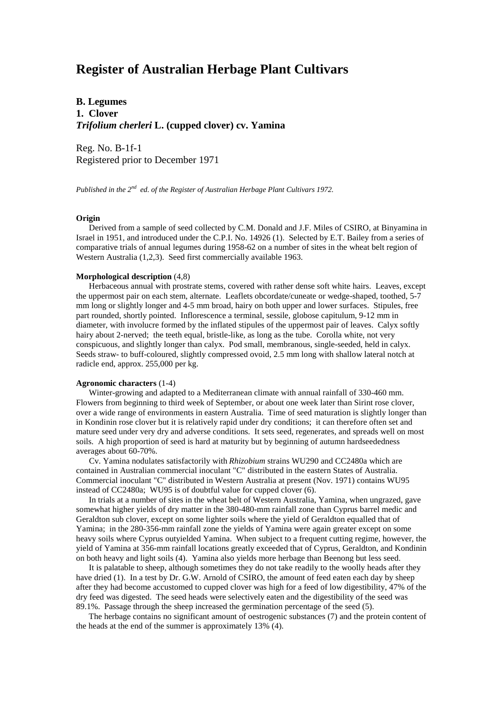# **Register of Australian Herbage Plant Cultivars**

# **B. Legumes 1. Clover** *Trifolium cherleri* **L. (cupped clover) cv. Yamina**

Reg. No. B-1f-1 Registered prior to December 1971

*Published in the 2nd ed. of the Register of Australian Herbage Plant Cultivars 1972.*

# **Origin**

 Derived from a sample of seed collected by C.M. Donald and J.F. Miles of CSIRO, at Binyamina in Israel in 1951, and introduced under the C.P.I. No. 14926 (1). Selected by E.T. Bailey from a series of comparative trials of annual legumes during 1958-62 on a number of sites in the wheat belt region of Western Australia (1,2,3). Seed first commercially available 1963.

#### **Morphological description** (4,8)

 Herbaceous annual with prostrate stems, covered with rather dense soft white hairs. Leaves, except the uppermost pair on each stem, alternate. Leaflets obcordate/cuneate or wedge-shaped, toothed, 5-7 mm long or slightly longer and 4-5 mm broad, hairy on both upper and lower surfaces. Stipules, free part rounded, shortly pointed. Inflorescence a terminal, sessile, globose capitulum, 9-12 mm in diameter, with involucre formed by the inflated stipules of the uppermost pair of leaves. Calyx softly hairy about 2-nerved; the teeth equal, bristle-like, as long as the tube. Corolla white, not very conspicuous, and slightly longer than calyx. Pod small, membranous, single-seeded, held in calyx. Seeds straw- to buff-coloured, slightly compressed ovoid, 2.5 mm long with shallow lateral notch at radicle end, approx. 255,000 per kg.

## **Agronomic characters** (1-4)

 Winter-growing and adapted to a Mediterranean climate with annual rainfall of 330-460 mm. Flowers from beginning to third week of September, or about one week later than Sirint rose clover, over a wide range of environments in eastern Australia. Time of seed maturation is slightly longer than in Kondinin rose clover but it is relatively rapid under dry conditions; it can therefore often set and mature seed under very dry and adverse conditions. It sets seed, regenerates, and spreads well on most soils. A high proportion of seed is hard at maturity but by beginning of autumn hardseededness averages about 60-70%.

 Cv. Yamina nodulates satisfactorily with *Rhizobium* strains WU290 and CC2480a which are contained in Australian commercial inoculant "C" distributed in the eastern States of Australia. Commercial inoculant "C" distributed in Western Australia at present (Nov. 1971) contains WU95 instead of CC2480a; WU95 is of doubtful value for cupped clover (6).

 In trials at a number of sites in the wheat belt of Western Australia, Yamina, when ungrazed, gave somewhat higher yields of dry matter in the 380-480-mm rainfall zone than Cyprus barrel medic and Geraldton sub clover, except on some lighter soils where the yield of Geraldton equalled that of Yamina; in the 280-356-mm rainfall zone the yields of Yamina were again greater except on some heavy soils where Cyprus outyielded Yamina. When subject to a frequent cutting regime, however, the yield of Yamina at 356-mm rainfall locations greatly exceeded that of Cyprus, Geraldton, and Kondinin on both heavy and light soils (4). Yamina also yields more herbage than Beenong but less seed.

 It is palatable to sheep, although sometimes they do not take readily to the woolly heads after they have dried (1). In a test by Dr. G.W. Arnold of CSIRO, the amount of feed eaten each day by sheep after they had become accustomed to cupped clover was high for a feed of low digestibility, 47% of the dry feed was digested. The seed heads were selectively eaten and the digestibility of the seed was 89.1%. Passage through the sheep increased the germination percentage of the seed (5).

 The herbage contains no significant amount of oestrogenic substances (7) and the protein content of the heads at the end of the summer is approximately 13% (4).